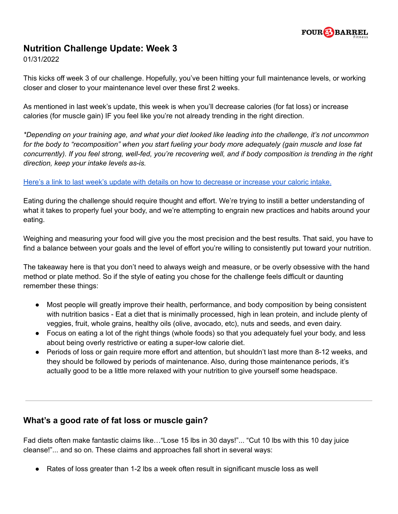

## **Nutrition Challenge Update: Week 3**

01/31/2022

This kicks off week 3 of our challenge. Hopefully, you've been hitting your full maintenance levels, or working closer and closer to your maintenance level over these first 2 weeks.

As mentioned in last week's update, this week is when you'll decrease calories (for fat loss) or increase calories (for muscle gain) IF you feel like you're not already trending in the right direction.

\*Depending on your training age, and what your diet looked like leading into the challenge, it's not uncommon for the body to "recomposition" when you start fueling your body more adequately (gain muscle and lose fat concurrently). If you feel strong, well-fed, you're recovering well, and if body composition is trending in the right *direction, keep your intake levels as-is.*

## Here's a link to last week's update with details on how to [decrease](https://4bfit.com/wp-content/uploads/2022/01/Nutrition-Challenge-2022-Week-2-Update.pdf) or increase your caloric intake.

Eating during the challenge should require thought and effort. We're trying to instill a better understanding of what it takes to properly fuel your body, and we're attempting to engrain new practices and habits around your eating.

Weighing and measuring your food will give you the most precision and the best results. That said, you have to find a balance between your goals and the level of effort you're willing to consistently put toward your nutrition.

The takeaway here is that you don't need to always weigh and measure, or be overly obsessive with the hand method or plate method. So if the style of eating you chose for the challenge feels difficult or daunting remember these things:

- Most people will greatly improve their health, performance, and body composition by being consistent with nutrition basics - Eat a diet that is minimally processed, high in lean protein, and include plenty of veggies, fruit, whole grains, healthy oils (olive, avocado, etc), nuts and seeds, and even dairy.
- Focus on eating a lot of the right things (whole foods) so that you adequately fuel your body, and less about being overly restrictive or eating a super-low calorie diet.
- Periods of loss or gain require more effort and attention, but shouldn't last more than 8-12 weeks, and they should be followed by periods of maintenance. Also, during those maintenance periods, it's actually good to be a little more relaxed with your nutrition to give yourself some headspace.

## **What's a good rate of fat loss or muscle gain?**

Fad diets often make fantastic claims like…"Lose 15 lbs in 30 days!"... "Cut 10 lbs with this 10 day juice cleanse!"... and so on. These claims and approaches fall short in several ways:

● Rates of loss greater than 1-2 lbs a week often result in significant muscle loss as well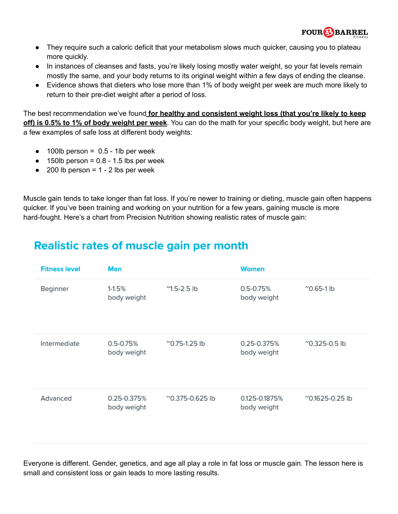

- They require such a caloric deficit that your metabolism slows much quicker, causing you to plateau more quickly.
- In instances of cleanses and fasts, you're likely losing mostly water weight, so your fat levels remain mostly the same, and your body returns to its original weight within a few days of ending the cleanse.
- Evidence shows that dieters who lose more than 1% of body weight per week are much more likely to return to their pre-diet weight after a period of loss.

The best recommendation we've found **for healthy and consistent weight loss (that you're likely to keep off) is 0.5% to 1% of body weight per week**. You can do the math for your specific body weight, but here are a few examples of safe loss at different body weights:

- $\bullet$  100lb person = 0.5 1lb per week
- $\bullet$  150lb person = 0.8 1.5 lbs per week
- $\bullet$  200 lb person = 1 2 lbs per week

Muscle gain tends to take longer than fat loss. If you're newer to training or dieting, muscle gain often happens quicker. If you've been training and working on your nutrition for a few years, gaining muscle is more hard-fought. Here's a chart from Precision Nutrition showing realistic rates of muscle gain:

## **Realistic rates of muscle gain per month**

| <b>Fitness level</b> | Men                          |                                | <b>Women</b>                 |                                |
|----------------------|------------------------------|--------------------------------|------------------------------|--------------------------------|
| Beginner             | $1 - 1.5%$<br>body weight    | $^{\prime\prime}$ 1.5-2.5 lb   | $0.5 - 0.75%$<br>body weight | $^{\prime\prime}$ 0.65-1 lb    |
| Intermediate         | $0.5 - 0.75%$<br>body weight | $^{\prime\prime}$ 0.75-1.25 lb | 0.25-0.375%<br>body weight   | $^{\prime\prime}$ 0.325-0.5 lb |
| Advanced             | 0.25-0.375%<br>body weight   | $^{\circ}$ 0.375-0.625 lb      | 0.125-0.1875%<br>body weight | ~0.1625-0.25 lb                |

Everyone is different. Gender, genetics, and age all play a role in fat loss or muscle gain. The lesson here is small and consistent loss or gain leads to more lasting results.